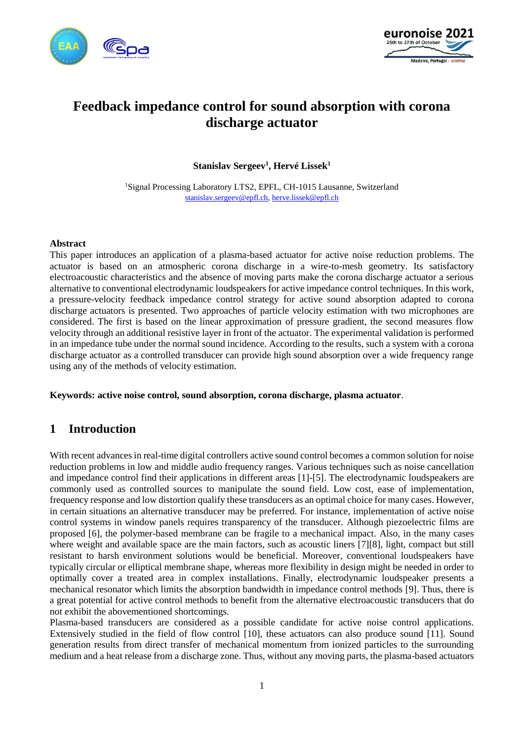



# **Feedback impedance control for sound absorption with corona discharge actuator**

**Stanislav Sergeev<sup>1</sup> , Hervé Lissek<sup>1</sup>**

<sup>1</sup>Signal Processing Laboratory LTS2, EPFL, CH-1015 Lausanne, Switzerland [stanislav.sergeev@epfl.ch,](mailto:stanislav.sergeev@epfl.ch) [herve.lissek@epfl.ch](mailto:herve.lissek@epfl.ch)

#### **Abstract**

This paper introduces an application of a plasma-based actuator for active noise reduction problems. The actuator is based on an atmospheric corona discharge in a wire-to-mesh geometry. Its satisfactory electroacoustic characteristics and the absence of moving parts make the corona discharge actuator a serious alternative to conventional electrodynamic loudspeakers for active impedance control techniques. In this work, a pressure-velocity feedback impedance control strategy for active sound absorption adapted to corona discharge actuators is presented. Two approaches of particle velocity estimation with two microphones are considered. The first is based on the linear approximation of pressure gradient, the second measures flow velocity through an additional resistive layer in front of the actuator. The experimental validation is performed in an impedance tube under the normal sound incidence. According to the results, such a system with a corona discharge actuator as a controlled transducer can provide high sound absorption over a wide frequency range using any of the methods of velocity estimation.

**Keywords: active noise control, sound absorption, corona discharge, plasma actuator**.

## **1 Introduction**

With recent advances in real-time digital controllers active sound control becomes a common solution for noise reduction problems in low and middle audio frequency ranges. Various techniques such as noise cancellation and impedance control find their applications in different areas [\[1\]](#page-7-0)[-\[5\].](#page-7-1) The electrodynamic loudspeakers are commonly used as controlled sources to manipulate the sound field. Low cost, ease of implementation, frequency response and low distortion qualify these transducers as an optimal choice for many cases. However, in certain situations an alternative transducer may be preferred. For instance, implementation of active noise control systems in window panels requires transparency of the transducer. Although piezoelectric films are proposed [\[6\],](#page-7-2) the polymer-based membrane can be fragile to a mechanical impact. Also, in the many cases where weight and available space are the main factors, such as acoustic liners [\[7\]](#page-7-3)[\[8\],](#page-7-4) light, compact but still resistant to harsh environment solutions would be beneficial. Moreover, conventional loudspeakers have typically circular or elliptical membrane shape, whereas more flexibility in design might be needed in order to optimally cover a treated area in complex installations. Finally, electrodynamic loudspeaker presents a mechanical resonator which limits the absorption bandwidth in impedance control methods [\[9\].](#page-7-5) Thus, there is a great potential for active control methods to benefit from the alternative electroacoustic transducers that do not exhibit the abovementioned shortcomings.

Plasma-based transducers are considered as a possible candidate for active noise control applications. Extensively studied in the field of flow control [\[10\],](#page-7-6) these actuators can also produce sound [\[11\].](#page-7-7) Sound generation results from direct transfer of mechanical momentum from ionized particles to the surrounding medium and a heat release from a discharge zone. Thus, without any moving parts, the plasma-based actuators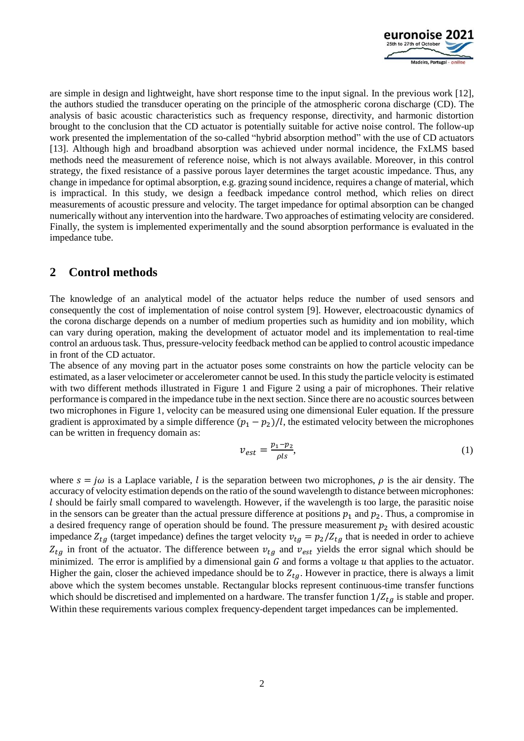

are simple in design and lightweight, have short response time to the input signal. In the previous work [\[12\],](#page-7-8) the authors studied the transducer operating on the principle of the atmospheric corona discharge (CD). The analysis of basic acoustic characteristics such as frequency response, directivity, and harmonic distortion brought to the conclusion that the CD actuator is potentially suitable for active noise control. The follow-up work presented the implementation of the so-called "hybrid absorption method" with the use of CD actuators [\[13\].](#page-8-0) Although high and broadband absorption was achieved under normal incidence, the FxLMS based methods need the measurement of reference noise, which is not always available. Moreover, in this control strategy, the fixed resistance of a passive porous layer determines the target acoustic impedance. Thus, any change in impedance for optimal absorption, e.g. grazing sound incidence, requires a change of material, which is impractical. In this study, we design a feedback impedance control method, which relies on direct measurements of acoustic pressure and velocity. The target impedance for optimal absorption can be changed numerically without any intervention into the hardware. Two approaches of estimating velocity are considered. Finally, the system is implemented experimentally and the sound absorption performance is evaluated in the impedance tube.

### **2 Control methods**

The knowledge of an analytical model of the actuator helps reduce the number of used sensors and consequently the cost of implementation of noise control system [\[9\].](#page-7-5) However, electroacoustic dynamics of the corona discharge depends on a number of medium properties such as humidity and ion mobility, which can vary during operation, making the development of actuator model and its implementation to real-time control an arduous task. Thus, pressure-velocity feedback method can be applied to control acoustic impedance in front of the CD actuator.

The absence of any moving part in the actuator poses some constraints on how the particle velocity can be estimated, as a laser velocimeter or accelerometer cannot be used. In this study the particle velocity is estimated with two different methods illustrated in [Figure 1](#page-2-0) and [Figure 2](#page-2-1) using a pair of microphones. Their relative performance is compared in the impedance tube in the next section. Since there are no acoustic sources between two microphones in [Figure 1,](#page-2-0) velocity can be measured using one dimensional Euler equation. If the pressure gradient is approximated by a simple difference  $(p_1 - p_2)/l$ , the estimated velocity between the microphones can be written in frequency domain as:

$$
v_{est} = \frac{p_1 - p_2}{\rho l s},\tag{1}
$$

where  $s = j\omega$  is a Laplace variable, *l* is the separation between two microphones,  $\rho$  is the air density. The accuracy of velocity estimation depends on the ratio of the sound wavelength to distance between microphones: should be fairly small compared to wavelength. However, if the wavelength is too large, the parasitic noise in the sensors can be greater than the actual pressure difference at positions  $p_1$  and  $p_2$ . Thus, a compromise in a desired frequency range of operation should be found. The pressure measurement  $p_2$  with desired acoustic impedance  $Z_{tg}$  (target impedance) defines the target velocity  $v_{tg} = p_2/Z_{tg}$  that is needed in order to achieve  $Z_{tg}$  in front of the actuator. The difference between  $v_{tg}$  and  $v_{est}$  yields the error signal which should be minimized. The error is amplified by a dimensional gain  $G$  and forms a voltage  $u$  that applies to the actuator. Higher the gain, closer the achieved impedance should be to  $Z_{ta}$ . However in practice, there is always a limit above which the system becomes unstable. Rectangular blocks represent continuous-time transfer functions which should be discretised and implemented on a hardware. The transfer function  $1/Z_{ta}$  is stable and proper. Within these requirements various complex frequency-dependent target impedances can be implemented.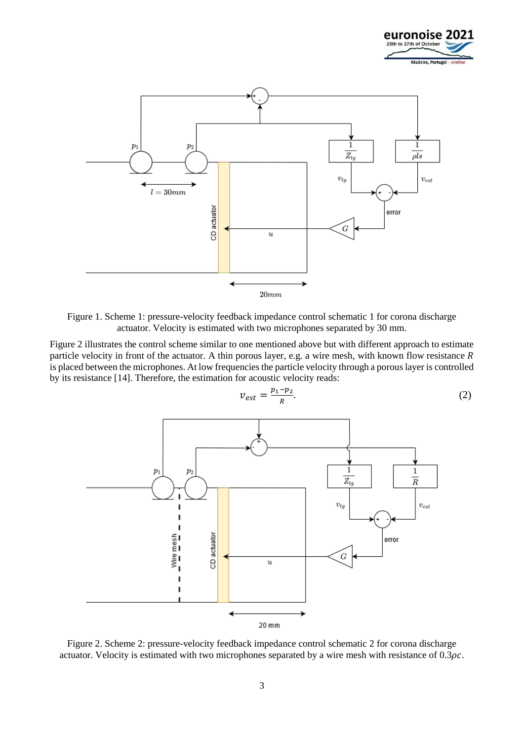



<span id="page-2-0"></span>Figure 1. Scheme 1: pressure-velocity feedback impedance control schematic 1 for corona discharge actuator. Velocity is estimated with two microphones separated by 30 mm.

[Figure 2](#page-2-1) illustrates the control scheme similar to one mentioned above but with different approach to estimate particle velocity in front of the actuator. A thin porous layer, e.g. a wire mesh, with known flow resistance  $R$ is placed between the microphones. At low frequencies the particle velocity through a porous layer is controlled by its resistanc[e \[14\].](#page-8-1) Therefore, the estimation for acoustic velocity reads:



$$
v_{est} = \frac{p_1 - p_2}{R}.\tag{2}
$$

<span id="page-2-1"></span>Figure 2. Scheme 2: pressure-velocity feedback impedance control schematic 2 for corona discharge actuator. Velocity is estimated with two microphones separated by a wire mesh with resistance of  $0.3\rho c$ .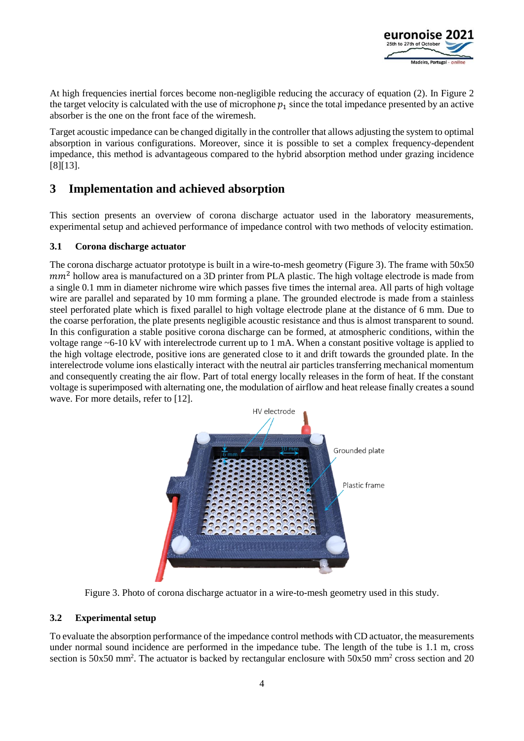

At high frequencies inertial forces become non-negligible reducing the accuracy of equation (2). In [Figure 2](#page-2-1) the target velocity is calculated with the use of microphone  $p_1$  since the total impedance presented by an active absorber is the one on the front face of the wiremesh.

Target acoustic impedance can be changed digitally in the controller that allows adjusting the system to optimal absorption in various configurations. Moreover, since it is possible to set a complex frequency-dependent impedance, this method is advantageous compared to the hybrid absorption method under grazing incidence [\[8\]](#page-7-4)[\[13\].](#page-8-0)

## **3 Implementation and achieved absorption**

This section presents an overview of corona discharge actuator used in the laboratory measurements, experimental setup and achieved performance of impedance control with two methods of velocity estimation.

#### **3.1 Corona discharge actuator**

The corona discharge actuator prototype is built in a wire-to-mesh geometry [\(Figure 3\)](#page-3-0). The frame with 50x50  $mm<sup>2</sup>$  hollow area is manufactured on a 3D printer from PLA plastic. The high voltage electrode is made from a single 0.1 mm in diameter nichrome wire which passes five times the internal area. All parts of high voltage wire are parallel and separated by 10 mm forming a plane. The grounded electrode is made from a stainless steel perforated plate which is fixed parallel to high voltage electrode plane at the distance of 6 mm. Due to the coarse perforation, the plate presents negligible acoustic resistance and thus is almost transparent to sound. In this configuration a stable positive corona discharge can be formed, at atmospheric conditions, within the voltage range ~6-10 kV with interelectrode current up to 1 mA. When a constant positive voltage is applied to the high voltage electrode, positive ions are generated close to it and drift towards the grounded plate. In the interelectrode volume ions elastically interact with the neutral air particles transferring mechanical momentum and consequently creating the air flow. Part of total energy locally releases in the form of heat. If the constant voltage is superimposed with alternating one, the modulation of airflow and heat release finally creates a sound wave. For more details, refer to [\[12\].](#page-7-8)



Figure 3. Photo of corona discharge actuator in a wire-to-mesh geometry used in this study.

#### <span id="page-3-0"></span>**3.2 Experimental setup**

To evaluate the absorption performance of the impedance control methods with CD actuator, the measurements under normal sound incidence are performed in the impedance tube. The length of the tube is 1.1 m, cross section is 50x50 mm<sup>2</sup>. The actuator is backed by rectangular enclosure with 50x50 mm<sup>2</sup> cross section and 20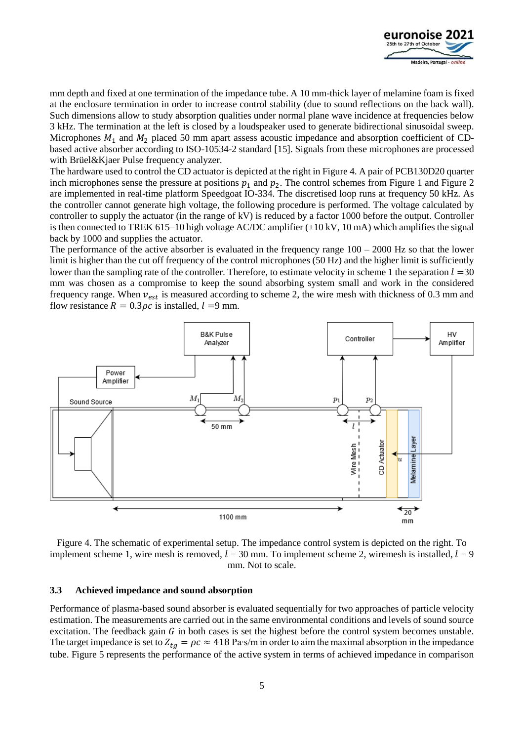

mm depth and fixed at one termination of the impedance tube. A 10 mm-thick layer of melamine foam is fixed at the enclosure termination in order to increase control stability (due to sound reflections on the back wall). Such dimensions allow to study absorption qualities under normal plane wave incidence at frequencies below 3 kHz. The termination at the left is closed by a loudspeaker used to generate bidirectional sinusoidal sweep. Microphones  $M_1$  and  $M_2$  placed 50 mm apart assess acoustic impedance and absorption coefficient of CDbased active absorber according to ISO-10534-2 standar[d \[15\].](#page-8-2) Signals from these microphones are processed with Brüel&Kjaer Pulse frequency analyzer.

The hardware used to control the CD actuator is depicted at the right i[n Figure 4.](#page-4-0) A pair of PCB130D20 quarter inch microphones sense the pressure at positions  $p_1$  and  $p_2$ . The control schemes from [Figure 1](#page-2-0) and [Figure 2](#page-2-1) are implemented in real-time platform Speedgoat IO-334. The discretised loop runs at frequency 50 kHz. As the controller cannot generate high voltage, the following procedure is performed. The voltage calculated by controller to supply the actuator (in the range of kV) is reduced by a factor 1000 before the output. Controller is then connected to TREK 615–10 high voltage AC/DC amplifier  $(\pm 10 \text{ kV}, 10 \text{ mA})$  which amplifies the signal back by 1000 and supplies the actuator.

The performance of the active absorber is evaluated in the frequency range  $100 - 2000$  Hz so that the lower limit is higher than the cut off frequency of the control microphones (50 Hz) and the higher limit is sufficiently lower than the sampling rate of the controller. Therefore, to estimate velocity in scheme 1 the separation  $l = 30$ mm was chosen as a compromise to keep the sound absorbing system small and work in the considered frequency range. When  $v_{est}$  is measured according to scheme 2, the wire mesh with thickness of 0.3 mm and flow resistance  $R = 0.3 \rho c$  is installed,  $l = 9$  mm.



<span id="page-4-0"></span>Figure 4. The schematic of experimental setup. The impedance control system is depicted on the right. To implement scheme 1, wire mesh is removed,  $l = 30$  mm. To implement scheme 2, wiremesh is installed,  $l = 9$ mm. Not to scale.

#### **3.3 Achieved impedance and sound absorption**

Performance of plasma-based sound absorber is evaluated sequentially for two approaches of particle velocity estimation. The measurements are carried out in the same environmental conditions and levels of sound source excitation. The feedback gain  $G$  in both cases is set the highest before the control system becomes unstable. The target impedance is set to  $Z_{ta} = \rho c \approx 418 \text{ Pa} \cdot \text{s/m}$  in order to aim the maximal absorption in the impedance tube. [Figure 5](#page-5-0) represents the performance of the active system in terms of achieved impedance in comparison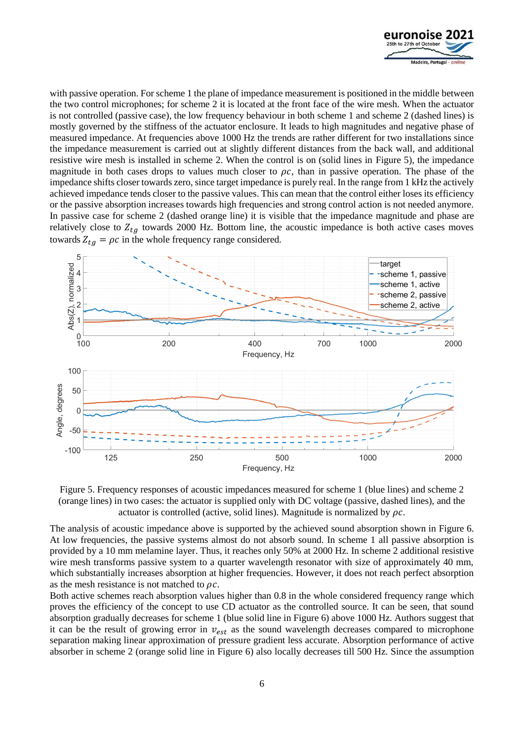

with passive operation. For scheme 1 the plane of impedance measurement is positioned in the middle between the two control microphones; for scheme 2 it is located at the front face of the wire mesh. When the actuator is not controlled (passive case), the low frequency behaviour in both scheme 1 and scheme 2 (dashed lines) is mostly governed by the stiffness of the actuator enclosure. It leads to high magnitudes and negative phase of measured impedance. At frequencies above 1000 Hz the trends are rather different for two installations since the impedance measurement is carried out at slightly different distances from the back wall, and additional resistive wire mesh is installed in scheme 2. When the control is on (solid lines in [Figure 5\)](#page-5-0), the impedance magnitude in both cases drops to values much closer to  $\rho c$ , than in passive operation. The phase of the impedance shifts closer towards zero, since target impedance is purely real. In the range from 1 kHz the actively achieved impedance tends closer to the passive values. This can mean that the control either loses its efficiency or the passive absorption increases towards high frequencies and strong control action is not needed anymore. In passive case for scheme 2 (dashed orange line) it is visible that the impedance magnitude and phase are relatively close to  $Z_{ta}$  towards 2000 Hz. Bottom line, the acoustic impedance is both active cases moves towards  $Z_{ta} = \rho c$  in the whole frequency range considered.



<span id="page-5-0"></span>Figure 5. Frequency responses of acoustic impedances measured for scheme 1 (blue lines) and scheme 2 (orange lines) in two cases: the actuator is supplied only with DC voltage (passive, dashed lines), and the actuator is controlled (active, solid lines). Magnitude is normalized by  $\rho c$ .

The analysis of acoustic impedance above is supported by the achieved sound absorption shown in [Figure 6.](#page-6-0) At low frequencies, the passive systems almost do not absorb sound. In scheme 1 all passive absorption is provided by a 10 mm melamine layer. Thus, it reaches only 50% at 2000 Hz. In scheme 2 additional resistive wire mesh transforms passive system to a quarter wavelength resonator with size of approximately 40 mm, which substantially increases absorption at higher frequencies. However, it does not reach perfect absorption as the mesh resistance is not matched to  $\rho c$ .

Both active schemes reach absorption values higher than 0.8 in the whole considered frequency range which proves the efficiency of the concept to use CD actuator as the controlled source. It can be seen, that sound absorption gradually decreases for scheme 1 (blue solid line in [Figure 6\)](#page-6-0) above 1000 Hz. Authors suggest that it can be the result of growing error in  $v_{est}$  as the sound wavelength decreases compared to microphone separation making linear approximation of pressure gradient less accurate. Absorption performance of active absorber in scheme 2 (orange solid line in [Figure 6\)](#page-6-0) also locally decreases till 500 Hz. Since the assumption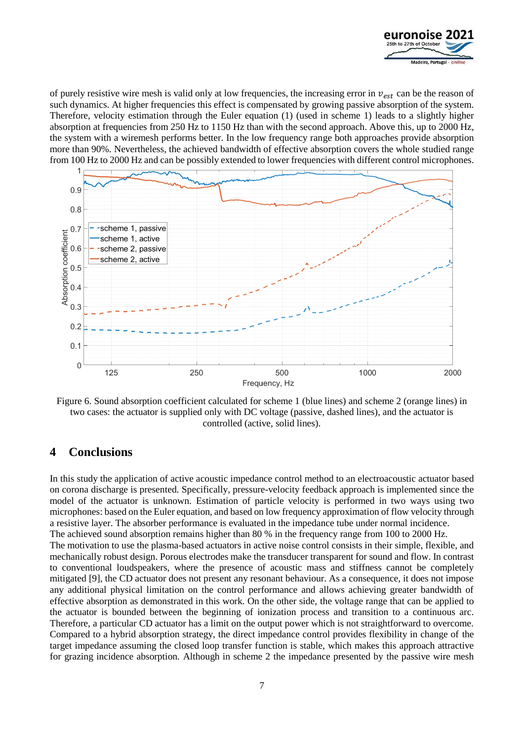

of purely resistive wire mesh is valid only at low frequencies, the increasing error in  $v_{est}$  can be the reason of such dynamics. At higher frequencies this effect is compensated by growing passive absorption of the system. Therefore, velocity estimation through the Euler equation (1) (used in scheme 1) leads to a slightly higher absorption at frequencies from 250 Hz to 1150 Hz than with the second approach. Above this, up to 2000 Hz, the system with a wiremesh performs better. In the low frequency range both approaches provide absorption more than 90%. Nevertheless, the achieved bandwidth of effective absorption covers the whole studied range from 100 Hz to 2000 Hz and can be possibly extended to lower frequencies with different control microphones.



<span id="page-6-0"></span>Figure 6. Sound absorption coefficient calculated for scheme 1 (blue lines) and scheme 2 (orange lines) in two cases: the actuator is supplied only with DC voltage (passive, dashed lines), and the actuator is controlled (active, solid lines).

### **4 Conclusions**

In this study the application of active acoustic impedance control method to an electroacoustic actuator based on corona discharge is presented. Specifically, pressure-velocity feedback approach is implemented since the model of the actuator is unknown. Estimation of particle velocity is performed in two ways using two microphones: based on the Euler equation, and based on low frequency approximation of flow velocity through a resistive layer. The absorber performance is evaluated in the impedance tube under normal incidence. The achieved sound absorption remains higher than 80 % in the frequency range from 100 to 2000 Hz. The motivation to use the plasma-based actuators in active noise control consists in their simple, flexible, and mechanically robust design. Porous electrodes make the transducer transparent for sound and flow. In contrast to conventional loudspeakers, where the presence of acoustic mass and stiffness cannot be completely mitigated [\[9\],](#page-7-5) the CD actuator does not present any resonant behaviour. As a consequence, it does not impose any additional physical limitation on the control performance and allows achieving greater bandwidth of effective absorption as demonstrated in this work. On the other side, the voltage range that can be applied to the actuator is bounded between the beginning of ionization process and transition to a continuous arc. Therefore, a particular CD actuator has a limit on the output power which is not straightforward to overcome. Compared to a hybrid absorption strategy, the direct impedance control provides flexibility in change of the target impedance assuming the closed loop transfer function is stable, which makes this approach attractive for grazing incidence absorption. Although in scheme 2 the impedance presented by the passive wire mesh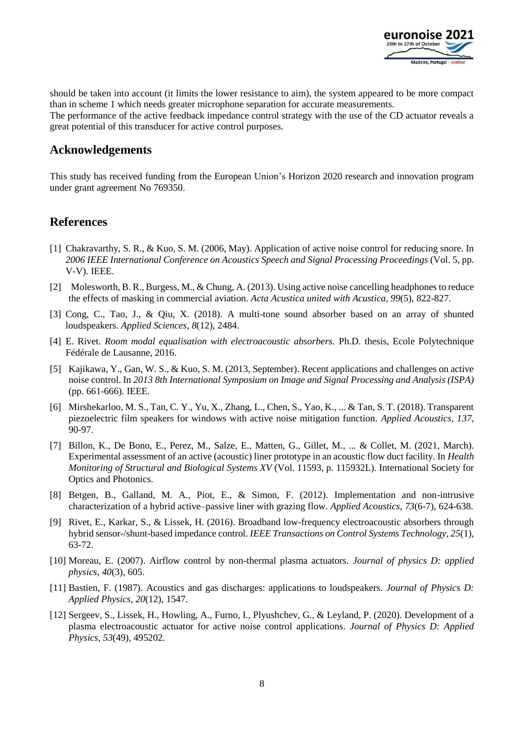

should be taken into account (it limits the lower resistance to aim), the system appeared to be more compact than in scheme 1 which needs greater microphone separation for accurate measurements. The performance of the active feedback impedance control strategy with the use of the CD actuator reveals a great potential of this transducer for active control purposes.

### **Acknowledgements**

This study has received funding from the European Union's Horizon 2020 research and innovation program under grant agreement No 769350.

### **References**

- <span id="page-7-0"></span>[1] Chakravarthy, S. R., & Kuo, S. M. (2006, May). Application of active noise control for reducing snore. In *2006 IEEE International Conference on Acoustics Speech and Signal Processing Proceedings* (Vol. 5, pp. V-V). IEEE.
- [2] Molesworth, B. R., Burgess, M., & Chung, A. (2013). Using active noise cancelling headphones to reduce the effects of masking in commercial aviation. *Acta Acustica united with Acustica*, *99*(5), 822-827.
- [3] Cong, C., Tao, J., & Qiu, X. (2018). A multi-tone sound absorber based on an array of shunted loudspeakers. *Applied Sciences*, *8*(12), 2484.
- [4] E. Rivet. *Room modal equalisation with electroacoustic absorbers.* Ph.D. thesis, Ecole Polytechnique Fédérale de Lausanne, 2016.
- <span id="page-7-1"></span>[5] Kajikawa, Y., Gan, W. S., & Kuo, S. M. (2013, September). Recent applications and challenges on active noise control. In *2013 8th International Symposium on Image and Signal Processing and Analysis (ISPA)* (pp. 661-666). IEEE.
- <span id="page-7-2"></span>[6] Mirshekarloo, M. S., Tan, C. Y., Yu, X., Zhang, L., Chen, S., Yao, K., ... & Tan, S. T. (2018). Transparent piezoelectric film speakers for windows with active noise mitigation function. *Applied Acoustics*, *137*, 90-97.
- <span id="page-7-3"></span>[7] Billon, K., De Bono, E., Perez, M., Salze, E., Matten, G., Gillet, M., ... & Collet, M. (2021, March). Experimental assessment of an active (acoustic) liner prototype in an acoustic flow duct facility. In *Health Monitoring of Structural and Biological Systems XV* (Vol. 11593, p. 115932L). International Society for Optics and Photonics.
- <span id="page-7-4"></span>[8] Betgen, B., Galland, M. A., Piot, E., & Simon, F. (2012). Implementation and non-intrusive characterization of a hybrid active–passive liner with grazing flow. *Applied Acoustics*, *73*(6-7), 624-638.
- <span id="page-7-5"></span>[9] Rivet, E., Karkar, S., & Lissek, H. (2016). Broadband low-frequency electroacoustic absorbers through hybrid sensor-/shunt-based impedance control. *IEEE Transactions on Control Systems Technology*, *25*(1), 63-72.
- <span id="page-7-6"></span>[10] Moreau, E. (2007). Airflow control by non-thermal plasma actuators. *Journal of physics D: applied physics*, *40*(3), 605.
- <span id="page-7-7"></span>[11] Bastien, F. (1987). Acoustics and gas discharges: applications to loudspeakers. *Journal of Physics D: Applied Physics*, *20*(12), 1547.
- <span id="page-7-8"></span>[12] Sergeev, S., Lissek, H., Howling, A., Furno, I., Plyushchev, G., & Leyland, P. (2020). Development of a plasma electroacoustic actuator for active noise control applications. *Journal of Physics D: Applied Physics*, *53*(49), 495202.